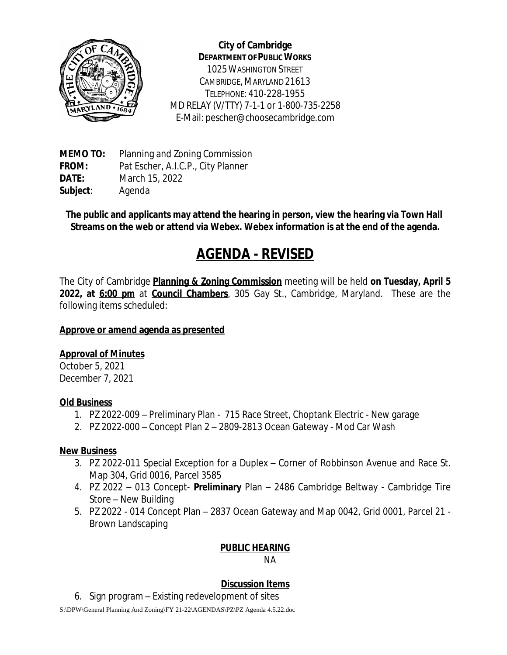

**City of Cambridge DEPARTMENT OF PUBLIC WORKS** 1025WASHINGTON STREET CAMBRIDGE, MARYLAND 21613 TELEPHONE: 410-228-1955 MD RELAY (V/TTY) 7-1-1 or 1-800-735-2258 E-Mail: pescher@choosecambridge.com

**MEMO TO:** Planning and Zoning Commission **FROM:** Pat Escher, A.I.C.P., City Planner **DATE:** March 15, 2022 **Subject**: Agenda

**The public and applicants may attend the hearing in person, view the hearing via Town Hall Streams on the web or attend via Webex. Webex information is at the end of the agenda.**

# **AGENDA - REVISED**

The City of Cambridge **Planning & Zoning Commission** meeting will be held **on Tuesday, April 5 2022, at 6:00 pm** at **Council Chambers**, 305 Gay St., Cambridge, Maryland. These are the following items scheduled:

## **Approve or amend agenda as presented**

# **Approval of Minutes**

October 5, 2021 December 7, 2021

#### **Old Business**

- 1. PZ 2022-009 Preliminary Plan 715 Race Street, Choptank Electric New garage
- 2. PZ 2022-000 Concept Plan 2 2809-2813 Ocean Gateway Mod Car Wash

#### **New Business**

- 3. PZ 2022-011 Special Exception for a Duplex Corner of Robbinson Avenue and Race St. Map 304, Grid 0016, Parcel 3585
- 4. PZ 2022 013 Concept- **Preliminary** Plan 2486 Cambridge Beltway Cambridge Tire Store – New Building
- 5. PZ 2022 014 Concept Plan 2837 Ocean Gateway and Map 0042, Grid 0001, Parcel 21 Brown Landscaping

# **PUBLIC HEARING**

NA

# **Discussion Items**

6. Sign program – Existing redevelopment of sites

S:\DPW\General Planning And Zoning\FY 21-22\AGENDAS\PZ\PZ Agenda 4.5.22.doc